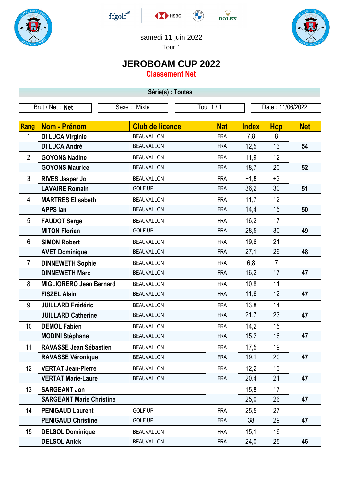





 $\stackrel{\text{W}}{\text{ROLEX}}$ 



samedi 11 juin 2022

Tour 1

## **JEROBOAM CUP 2022**

**Classement Net**

| Tour 1 / 1<br>Brut / Net: Net<br>Sexe: Mixte<br>Date: 11/06/2022<br>Rang<br><b>Nom - Prénom</b><br><b>Net</b><br><b>Club de licence</b><br><b>Nat</b><br><b>Hcp</b><br><b>Index</b><br><b>DI LUCA Virginie</b><br>8<br>1<br><b>BEAUVALLON</b><br><b>FRA</b><br>7,8<br>13<br><b>DI LUCA André</b><br>12,5<br><b>BEAUVALLON</b><br><b>FRA</b><br>54<br>11,9<br>12<br>$\overline{2}$<br><b>GOYONS Nadine</b><br><b>BEAUVALLON</b><br><b>FRA</b><br><b>GOYONS Maurice</b><br>18,7<br>20<br><b>BEAUVALLON</b><br>52<br><b>FRA</b><br>3<br>$+1,8$<br>$+3$<br><b>RIVES Jasper Jo</b><br><b>BEAUVALLON</b><br><b>FRA</b><br><b>LAVAIRE Romain</b><br>36,2<br>30<br><b>GOLF UP</b><br><b>FRA</b><br>51<br>11,7<br>12<br><b>MARTRES Elisabeth</b><br><b>BEAUVALLON</b><br>4<br><b>FRA</b><br>15<br>14,4<br><b>APPS</b> lan<br><b>BEAUVALLON</b><br><b>FRA</b><br>50<br>17<br>5<br>16,2<br><b>FAUDOT Serge</b><br><b>BEAUVALLON</b><br><b>FRA</b><br>28,5<br>30<br><b>MITON Florian</b><br><b>GOLF UP</b><br><b>FRA</b><br>49<br>21<br>6<br>19,6<br><b>SIMON Robert</b><br><b>BEAUVALLON</b><br><b>FRA</b><br>29<br><b>AVET Dominique</b><br><b>FRA</b><br>27,1<br>48<br><b>BEAUVALLON</b><br>$\overline{7}$<br><b>DINNEWETH Sophie</b><br>$\overline{7}$<br>6,8<br><b>BEAUVALLON</b><br><b>FRA</b><br>17<br><b>DINNEWETH Marc</b><br>16,2<br><b>FRA</b><br>47<br><b>BEAUVALLON</b><br>8<br>11<br>10,8<br><b>MIGLIORERO Jean Bernard</b><br><b>BEAUVALLON</b><br><b>FRA</b><br>12<br>11,6<br><b>FISZEL Alain</b><br><b>FRA</b><br><b>BEAUVALLON</b><br>47<br>14<br>9<br>13,8<br><b>JUILLARD Frédéric</b><br><b>BEAUVALLON</b><br><b>FRA</b><br>21,7<br>23<br><b>JUILLARD Catherine</b><br><b>BEAUVALLON</b><br><b>FRA</b><br>47<br>10<br>15<br><b>DEMOL Fabien</b><br>14,2<br><b>BEAUVALLON</b><br><b>FRA</b><br>16<br>15,2<br><b>MODINI Stéphane</b><br><b>FRA</b><br>47<br><b>BEAUVALLON</b><br><b>RAVASSE Jean Sébastien</b><br>17,5<br>19<br>11<br><b>BEAUVALLON</b><br><b>FRA</b><br><b>RAVASSE Véronique</b><br>19,1<br>20<br>47<br><b>BEAUVALLON</b><br><b>FRA</b><br>12<br><b>VERTAT Jean-Pierre</b><br>12,2<br>13<br><b>FRA</b><br><b>BEAUVALLON</b><br><b>VERTAT Marie-Laure</b><br>21<br>20,4<br>47<br><b>BEAUVALLON</b><br><b>FRA</b><br>13<br><b>SARGEANT Jon</b><br>15,8<br>17<br><b>SARGEANT Marie Christine</b><br>25,0<br>26<br>47<br><b>GOLF UP</b><br>27<br>14<br><b>PENIGAUD Laurent</b><br><b>FRA</b><br>25,5<br>38<br><b>GOLF UP</b><br>29<br><b>PENIGAUD Christine</b><br><b>FRA</b><br>47<br>15<br>15,1<br>16<br><b>DELSOL Dominique</b><br><b>BEAUVALLON</b><br><b>FRA</b><br><b>BEAUVALLON</b><br><b>FRA</b> | Série(s) : Toutes |                     |  |  |      |    |    |  |
|-----------------------------------------------------------------------------------------------------------------------------------------------------------------------------------------------------------------------------------------------------------------------------------------------------------------------------------------------------------------------------------------------------------------------------------------------------------------------------------------------------------------------------------------------------------------------------------------------------------------------------------------------------------------------------------------------------------------------------------------------------------------------------------------------------------------------------------------------------------------------------------------------------------------------------------------------------------------------------------------------------------------------------------------------------------------------------------------------------------------------------------------------------------------------------------------------------------------------------------------------------------------------------------------------------------------------------------------------------------------------------------------------------------------------------------------------------------------------------------------------------------------------------------------------------------------------------------------------------------------------------------------------------------------------------------------------------------------------------------------------------------------------------------------------------------------------------------------------------------------------------------------------------------------------------------------------------------------------------------------------------------------------------------------------------------------------------------------------------------------------------------------------------------------------------------------------------------------------------------------------------------------------------------------------------------------------------------------------------------------------------------------------------------------------------------------------------------------------------------------------------------------------------------------------------------------------------------------------------------------------------|-------------------|---------------------|--|--|------|----|----|--|
|                                                                                                                                                                                                                                                                                                                                                                                                                                                                                                                                                                                                                                                                                                                                                                                                                                                                                                                                                                                                                                                                                                                                                                                                                                                                                                                                                                                                                                                                                                                                                                                                                                                                                                                                                                                                                                                                                                                                                                                                                                                                                                                                                                                                                                                                                                                                                                                                                                                                                                                                                                                                                             |                   |                     |  |  |      |    |    |  |
|                                                                                                                                                                                                                                                                                                                                                                                                                                                                                                                                                                                                                                                                                                                                                                                                                                                                                                                                                                                                                                                                                                                                                                                                                                                                                                                                                                                                                                                                                                                                                                                                                                                                                                                                                                                                                                                                                                                                                                                                                                                                                                                                                                                                                                                                                                                                                                                                                                                                                                                                                                                                                             |                   |                     |  |  |      |    |    |  |
|                                                                                                                                                                                                                                                                                                                                                                                                                                                                                                                                                                                                                                                                                                                                                                                                                                                                                                                                                                                                                                                                                                                                                                                                                                                                                                                                                                                                                                                                                                                                                                                                                                                                                                                                                                                                                                                                                                                                                                                                                                                                                                                                                                                                                                                                                                                                                                                                                                                                                                                                                                                                                             |                   |                     |  |  |      |    |    |  |
|                                                                                                                                                                                                                                                                                                                                                                                                                                                                                                                                                                                                                                                                                                                                                                                                                                                                                                                                                                                                                                                                                                                                                                                                                                                                                                                                                                                                                                                                                                                                                                                                                                                                                                                                                                                                                                                                                                                                                                                                                                                                                                                                                                                                                                                                                                                                                                                                                                                                                                                                                                                                                             |                   |                     |  |  |      |    |    |  |
|                                                                                                                                                                                                                                                                                                                                                                                                                                                                                                                                                                                                                                                                                                                                                                                                                                                                                                                                                                                                                                                                                                                                                                                                                                                                                                                                                                                                                                                                                                                                                                                                                                                                                                                                                                                                                                                                                                                                                                                                                                                                                                                                                                                                                                                                                                                                                                                                                                                                                                                                                                                                                             |                   |                     |  |  |      |    |    |  |
|                                                                                                                                                                                                                                                                                                                                                                                                                                                                                                                                                                                                                                                                                                                                                                                                                                                                                                                                                                                                                                                                                                                                                                                                                                                                                                                                                                                                                                                                                                                                                                                                                                                                                                                                                                                                                                                                                                                                                                                                                                                                                                                                                                                                                                                                                                                                                                                                                                                                                                                                                                                                                             |                   |                     |  |  |      |    |    |  |
|                                                                                                                                                                                                                                                                                                                                                                                                                                                                                                                                                                                                                                                                                                                                                                                                                                                                                                                                                                                                                                                                                                                                                                                                                                                                                                                                                                                                                                                                                                                                                                                                                                                                                                                                                                                                                                                                                                                                                                                                                                                                                                                                                                                                                                                                                                                                                                                                                                                                                                                                                                                                                             |                   |                     |  |  |      |    |    |  |
|                                                                                                                                                                                                                                                                                                                                                                                                                                                                                                                                                                                                                                                                                                                                                                                                                                                                                                                                                                                                                                                                                                                                                                                                                                                                                                                                                                                                                                                                                                                                                                                                                                                                                                                                                                                                                                                                                                                                                                                                                                                                                                                                                                                                                                                                                                                                                                                                                                                                                                                                                                                                                             |                   |                     |  |  |      |    |    |  |
|                                                                                                                                                                                                                                                                                                                                                                                                                                                                                                                                                                                                                                                                                                                                                                                                                                                                                                                                                                                                                                                                                                                                                                                                                                                                                                                                                                                                                                                                                                                                                                                                                                                                                                                                                                                                                                                                                                                                                                                                                                                                                                                                                                                                                                                                                                                                                                                                                                                                                                                                                                                                                             |                   |                     |  |  |      |    |    |  |
|                                                                                                                                                                                                                                                                                                                                                                                                                                                                                                                                                                                                                                                                                                                                                                                                                                                                                                                                                                                                                                                                                                                                                                                                                                                                                                                                                                                                                                                                                                                                                                                                                                                                                                                                                                                                                                                                                                                                                                                                                                                                                                                                                                                                                                                                                                                                                                                                                                                                                                                                                                                                                             |                   |                     |  |  |      |    |    |  |
|                                                                                                                                                                                                                                                                                                                                                                                                                                                                                                                                                                                                                                                                                                                                                                                                                                                                                                                                                                                                                                                                                                                                                                                                                                                                                                                                                                                                                                                                                                                                                                                                                                                                                                                                                                                                                                                                                                                                                                                                                                                                                                                                                                                                                                                                                                                                                                                                                                                                                                                                                                                                                             |                   |                     |  |  |      |    |    |  |
|                                                                                                                                                                                                                                                                                                                                                                                                                                                                                                                                                                                                                                                                                                                                                                                                                                                                                                                                                                                                                                                                                                                                                                                                                                                                                                                                                                                                                                                                                                                                                                                                                                                                                                                                                                                                                                                                                                                                                                                                                                                                                                                                                                                                                                                                                                                                                                                                                                                                                                                                                                                                                             |                   |                     |  |  |      |    |    |  |
|                                                                                                                                                                                                                                                                                                                                                                                                                                                                                                                                                                                                                                                                                                                                                                                                                                                                                                                                                                                                                                                                                                                                                                                                                                                                                                                                                                                                                                                                                                                                                                                                                                                                                                                                                                                                                                                                                                                                                                                                                                                                                                                                                                                                                                                                                                                                                                                                                                                                                                                                                                                                                             |                   |                     |  |  |      |    |    |  |
|                                                                                                                                                                                                                                                                                                                                                                                                                                                                                                                                                                                                                                                                                                                                                                                                                                                                                                                                                                                                                                                                                                                                                                                                                                                                                                                                                                                                                                                                                                                                                                                                                                                                                                                                                                                                                                                                                                                                                                                                                                                                                                                                                                                                                                                                                                                                                                                                                                                                                                                                                                                                                             |                   |                     |  |  |      |    |    |  |
|                                                                                                                                                                                                                                                                                                                                                                                                                                                                                                                                                                                                                                                                                                                                                                                                                                                                                                                                                                                                                                                                                                                                                                                                                                                                                                                                                                                                                                                                                                                                                                                                                                                                                                                                                                                                                                                                                                                                                                                                                                                                                                                                                                                                                                                                                                                                                                                                                                                                                                                                                                                                                             |                   |                     |  |  |      |    |    |  |
|                                                                                                                                                                                                                                                                                                                                                                                                                                                                                                                                                                                                                                                                                                                                                                                                                                                                                                                                                                                                                                                                                                                                                                                                                                                                                                                                                                                                                                                                                                                                                                                                                                                                                                                                                                                                                                                                                                                                                                                                                                                                                                                                                                                                                                                                                                                                                                                                                                                                                                                                                                                                                             |                   |                     |  |  |      |    |    |  |
|                                                                                                                                                                                                                                                                                                                                                                                                                                                                                                                                                                                                                                                                                                                                                                                                                                                                                                                                                                                                                                                                                                                                                                                                                                                                                                                                                                                                                                                                                                                                                                                                                                                                                                                                                                                                                                                                                                                                                                                                                                                                                                                                                                                                                                                                                                                                                                                                                                                                                                                                                                                                                             |                   |                     |  |  |      |    |    |  |
|                                                                                                                                                                                                                                                                                                                                                                                                                                                                                                                                                                                                                                                                                                                                                                                                                                                                                                                                                                                                                                                                                                                                                                                                                                                                                                                                                                                                                                                                                                                                                                                                                                                                                                                                                                                                                                                                                                                                                                                                                                                                                                                                                                                                                                                                                                                                                                                                                                                                                                                                                                                                                             |                   |                     |  |  |      |    |    |  |
|                                                                                                                                                                                                                                                                                                                                                                                                                                                                                                                                                                                                                                                                                                                                                                                                                                                                                                                                                                                                                                                                                                                                                                                                                                                                                                                                                                                                                                                                                                                                                                                                                                                                                                                                                                                                                                                                                                                                                                                                                                                                                                                                                                                                                                                                                                                                                                                                                                                                                                                                                                                                                             |                   |                     |  |  |      |    |    |  |
|                                                                                                                                                                                                                                                                                                                                                                                                                                                                                                                                                                                                                                                                                                                                                                                                                                                                                                                                                                                                                                                                                                                                                                                                                                                                                                                                                                                                                                                                                                                                                                                                                                                                                                                                                                                                                                                                                                                                                                                                                                                                                                                                                                                                                                                                                                                                                                                                                                                                                                                                                                                                                             |                   |                     |  |  |      |    |    |  |
|                                                                                                                                                                                                                                                                                                                                                                                                                                                                                                                                                                                                                                                                                                                                                                                                                                                                                                                                                                                                                                                                                                                                                                                                                                                                                                                                                                                                                                                                                                                                                                                                                                                                                                                                                                                                                                                                                                                                                                                                                                                                                                                                                                                                                                                                                                                                                                                                                                                                                                                                                                                                                             |                   |                     |  |  |      |    |    |  |
|                                                                                                                                                                                                                                                                                                                                                                                                                                                                                                                                                                                                                                                                                                                                                                                                                                                                                                                                                                                                                                                                                                                                                                                                                                                                                                                                                                                                                                                                                                                                                                                                                                                                                                                                                                                                                                                                                                                                                                                                                                                                                                                                                                                                                                                                                                                                                                                                                                                                                                                                                                                                                             |                   |                     |  |  |      |    |    |  |
|                                                                                                                                                                                                                                                                                                                                                                                                                                                                                                                                                                                                                                                                                                                                                                                                                                                                                                                                                                                                                                                                                                                                                                                                                                                                                                                                                                                                                                                                                                                                                                                                                                                                                                                                                                                                                                                                                                                                                                                                                                                                                                                                                                                                                                                                                                                                                                                                                                                                                                                                                                                                                             |                   |                     |  |  |      |    |    |  |
|                                                                                                                                                                                                                                                                                                                                                                                                                                                                                                                                                                                                                                                                                                                                                                                                                                                                                                                                                                                                                                                                                                                                                                                                                                                                                                                                                                                                                                                                                                                                                                                                                                                                                                                                                                                                                                                                                                                                                                                                                                                                                                                                                                                                                                                                                                                                                                                                                                                                                                                                                                                                                             |                   |                     |  |  |      |    |    |  |
|                                                                                                                                                                                                                                                                                                                                                                                                                                                                                                                                                                                                                                                                                                                                                                                                                                                                                                                                                                                                                                                                                                                                                                                                                                                                                                                                                                                                                                                                                                                                                                                                                                                                                                                                                                                                                                                                                                                                                                                                                                                                                                                                                                                                                                                                                                                                                                                                                                                                                                                                                                                                                             |                   |                     |  |  |      |    |    |  |
|                                                                                                                                                                                                                                                                                                                                                                                                                                                                                                                                                                                                                                                                                                                                                                                                                                                                                                                                                                                                                                                                                                                                                                                                                                                                                                                                                                                                                                                                                                                                                                                                                                                                                                                                                                                                                                                                                                                                                                                                                                                                                                                                                                                                                                                                                                                                                                                                                                                                                                                                                                                                                             |                   |                     |  |  |      |    |    |  |
|                                                                                                                                                                                                                                                                                                                                                                                                                                                                                                                                                                                                                                                                                                                                                                                                                                                                                                                                                                                                                                                                                                                                                                                                                                                                                                                                                                                                                                                                                                                                                                                                                                                                                                                                                                                                                                                                                                                                                                                                                                                                                                                                                                                                                                                                                                                                                                                                                                                                                                                                                                                                                             |                   |                     |  |  |      |    |    |  |
|                                                                                                                                                                                                                                                                                                                                                                                                                                                                                                                                                                                                                                                                                                                                                                                                                                                                                                                                                                                                                                                                                                                                                                                                                                                                                                                                                                                                                                                                                                                                                                                                                                                                                                                                                                                                                                                                                                                                                                                                                                                                                                                                                                                                                                                                                                                                                                                                                                                                                                                                                                                                                             |                   |                     |  |  |      |    |    |  |
|                                                                                                                                                                                                                                                                                                                                                                                                                                                                                                                                                                                                                                                                                                                                                                                                                                                                                                                                                                                                                                                                                                                                                                                                                                                                                                                                                                                                                                                                                                                                                                                                                                                                                                                                                                                                                                                                                                                                                                                                                                                                                                                                                                                                                                                                                                                                                                                                                                                                                                                                                                                                                             |                   |                     |  |  |      |    |    |  |
|                                                                                                                                                                                                                                                                                                                                                                                                                                                                                                                                                                                                                                                                                                                                                                                                                                                                                                                                                                                                                                                                                                                                                                                                                                                                                                                                                                                                                                                                                                                                                                                                                                                                                                                                                                                                                                                                                                                                                                                                                                                                                                                                                                                                                                                                                                                                                                                                                                                                                                                                                                                                                             |                   |                     |  |  |      |    |    |  |
|                                                                                                                                                                                                                                                                                                                                                                                                                                                                                                                                                                                                                                                                                                                                                                                                                                                                                                                                                                                                                                                                                                                                                                                                                                                                                                                                                                                                                                                                                                                                                                                                                                                                                                                                                                                                                                                                                                                                                                                                                                                                                                                                                                                                                                                                                                                                                                                                                                                                                                                                                                                                                             |                   |                     |  |  |      |    |    |  |
|                                                                                                                                                                                                                                                                                                                                                                                                                                                                                                                                                                                                                                                                                                                                                                                                                                                                                                                                                                                                                                                                                                                                                                                                                                                                                                                                                                                                                                                                                                                                                                                                                                                                                                                                                                                                                                                                                                                                                                                                                                                                                                                                                                                                                                                                                                                                                                                                                                                                                                                                                                                                                             |                   |                     |  |  |      |    |    |  |
|                                                                                                                                                                                                                                                                                                                                                                                                                                                                                                                                                                                                                                                                                                                                                                                                                                                                                                                                                                                                                                                                                                                                                                                                                                                                                                                                                                                                                                                                                                                                                                                                                                                                                                                                                                                                                                                                                                                                                                                                                                                                                                                                                                                                                                                                                                                                                                                                                                                                                                                                                                                                                             |                   | <b>DELSOL Anick</b> |  |  | 24,0 | 25 | 46 |  |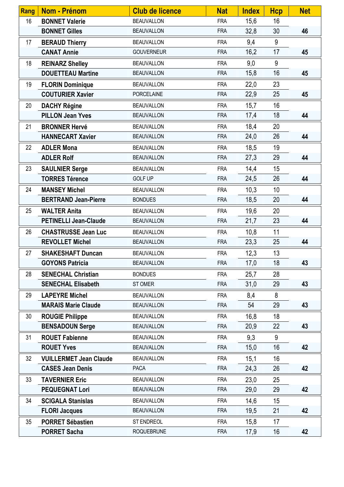| <b>Rang</b> | <b>Nom - Prénom</b>           | <b>Club de licence</b> | <b>Nat</b> | <b>Index</b> | <b>Hcp</b> | <b>Net</b> |
|-------------|-------------------------------|------------------------|------------|--------------|------------|------------|
| 16          | <b>BONNET Valerie</b>         | <b>BEAUVALLON</b>      | <b>FRA</b> | 15,6         | 16         |            |
|             | <b>BONNET Gilles</b>          | <b>BEAUVALLON</b>      | <b>FRA</b> | 32,8         | 30         | 46         |
| 17          | <b>BERAUD Thierry</b>         | <b>BEAUVALLON</b>      | <b>FRA</b> | 9,4          | 9          |            |
|             | <b>CANAT Annie</b>            | <b>GOUVERNEUR</b>      | <b>FRA</b> | 16,2         | 17         | 45         |
| 18          | <b>REINARZ Shelley</b>        | <b>BEAUVALLON</b>      | <b>FRA</b> | 9,0          | 9          |            |
|             | <b>DOUETTEAU Martine</b>      | <b>BEAUVALLON</b>      | <b>FRA</b> | 15,8         | 16         | 45         |
| 19          | <b>FLORIN Dominique</b>       | <b>BEAUVALLON</b>      | <b>FRA</b> | 22,0         | 23         |            |
|             | <b>COUTURIER Xavier</b>       | <b>PORCELAINE</b>      | <b>FRA</b> | 22,9         | 25         | 45         |
| 20          | <b>DACHY Régine</b>           | <b>BEAUVALLON</b>      | <b>FRA</b> | 15,7         | 16         |            |
|             | <b>PILLON Jean Yves</b>       | <b>BEAUVALLON</b>      | <b>FRA</b> | 17,4         | 18         | 44         |
| 21          | <b>BRONNER Hervé</b>          | <b>BEAUVALLON</b>      | <b>FRA</b> | 18,4         | 20         |            |
|             | <b>HANNECART Xavier</b>       | <b>BEAUVALLON</b>      | <b>FRA</b> | 24,0         | 26         | 44         |
| 22          | <b>ADLER Mona</b>             | <b>BEAUVALLON</b>      | <b>FRA</b> | 18,5         | 19         |            |
|             | <b>ADLER Rolf</b>             | <b>BEAUVALLON</b>      | <b>FRA</b> | 27,3         | 29         | 44         |
| 23          | <b>SAULNIER Serge</b>         | <b>BEAUVALLON</b>      | <b>FRA</b> | 14,4         | 15         |            |
|             | <b>TORRES Térence</b>         | <b>GOLF UP</b>         | <b>FRA</b> | 24,5         | 26         | 44         |
| 24          | <b>MANSEY Michel</b>          | <b>BEAUVALLON</b>      | <b>FRA</b> | 10,3         | 10         |            |
|             | <b>BERTRAND Jean-Pierre</b>   | <b>BONDUES</b>         | <b>FRA</b> | 18,5         | 20         | 44         |
| 25          | <b>WALTER Anita</b>           | <b>BEAUVALLON</b>      | <b>FRA</b> | 19,6         | 20         |            |
|             | <b>PETINELLI Jean-Claude</b>  | <b>BEAUVALLON</b>      | <b>FRA</b> | 21,7         | 23         | 44         |
| 26          | <b>CHASTRUSSE Jean Luc</b>    | <b>BEAUVALLON</b>      | <b>FRA</b> | 10,8         | 11         |            |
|             | <b>REVOLLET Michel</b>        | <b>BEAUVALLON</b>      | <b>FRA</b> | 23,3         | 25         | 44         |
| 27          | <b>SHAKESHAFT Duncan</b>      | <b>BEAUVALLON</b>      | <b>FRA</b> | 12,3         | 13         |            |
|             | <b>GOYONS Patricia</b>        | <b>BEAUVALLON</b>      | <b>FRA</b> | 17,0         | 18         | 43         |
| 28          | <b>SENECHAL Christian</b>     | <b>BONDUES</b>         | <b>FRA</b> | 25,7         | 28         |            |
|             | <b>SENECHAL Elisabeth</b>     | ST OMER                | <b>FRA</b> | 31,0         | 29         | 43         |
| 29          | <b>LAPEYRE Michel</b>         | <b>BEAUVALLON</b>      | <b>FRA</b> | 8,4          | 8          |            |
|             | <b>MARAIS Marie Claude</b>    | <b>BEAUVALLON</b>      | <b>FRA</b> | 54           | 29         | 43         |
| 30          | <b>ROUGIE Philippe</b>        | <b>BEAUVALLON</b>      | <b>FRA</b> | 16,8         | 18         |            |
|             | <b>BENSADOUN Serge</b>        | <b>BEAUVALLON</b>      | <b>FRA</b> | 20,9         | 22         | 43         |
| 31          | <b>ROUET Fabienne</b>         | <b>BEAUVALLON</b>      | <b>FRA</b> | 9,3          | 9          |            |
|             | <b>ROUET Yves</b>             | <b>BEAUVALLON</b>      | <b>FRA</b> | 15,0         | 16         | 42         |
| 32          | <b>VUILLERMET Jean Claude</b> | <b>BEAUVALLON</b>      | <b>FRA</b> | 15,1         | 16         |            |
|             | <b>CASES Jean Denis</b>       | <b>PACA</b>            | <b>FRA</b> | 24,3         | 26         | 42         |
| 33          | <b>TAVERNIER Eric</b>         | <b>BEAUVALLON</b>      | <b>FRA</b> | 23,0         | 25         |            |
|             | <b>PEQUEGNAT Lori</b>         | <b>BEAUVALLON</b>      | <b>FRA</b> | 29,0         | 29         | 42         |
| 34          | <b>SCIGALA Stanislas</b>      | <b>BEAUVALLON</b>      | <b>FRA</b> | 14,6         | 15         |            |
|             | <b>FLORI Jacques</b>          | <b>BEAUVALLON</b>      | <b>FRA</b> | 19,5         | 21         | 42         |
| 35          | <b>PORRET Sébastien</b>       | ST ENDREOL             | <b>FRA</b> | 15,8         | 17         |            |
|             | <b>PORRET Sacha</b>           | <b>ROQUEBRUNE</b>      | <b>FRA</b> | 17,9         | 16         | 42         |